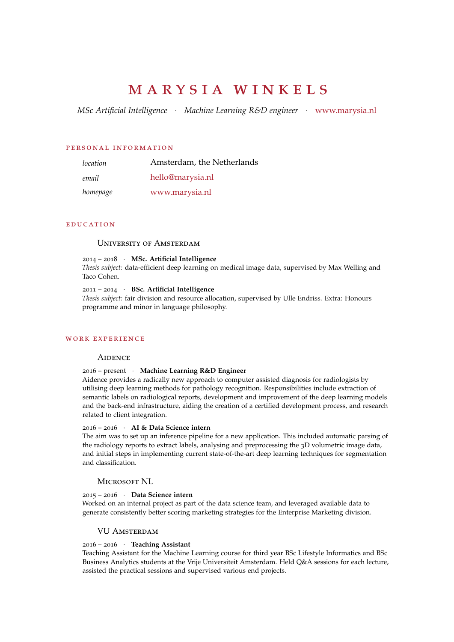# m a r y s i a w i n k e l s

*MSc Artificial Intelligence* · *Machine Learning R&D engineer* · [www.marysia.nl](https://www.marysia.nl)

#### p e r sona l in fo rmat ion

| location | Amsterdam, the Netherlands |
|----------|----------------------------|
| email    | hello@marysia.nl           |
| homepage | www.marysia.nl             |

### **EDUCATION**

## University of Amsterdam

# 2014 – 2018 · **MSc. Artificial Intelligence**

*Thesis subject:* data-efficient deep learning on medical image data, supervised by Max Welling and Taco Cohen.

## 2011 – 2014 · **BSc. Artificial Intelligence**

*Thesis subject:* fair division and resource allocation, supervised by Ulle Endriss. Extra: Honours programme and minor in language philosophy.

# WORK EXPERIENCE

## **AIDENCE**

# 2016 – present · **Machine Learning R&D Engineer**

Aidence provides a radically new approach to computer assisted diagnosis for radiologists by utilising deep learning methods for pathology recognition. Responsibilities include extraction of semantic labels on radiological reports, development and improvement of the deep learning models and the back-end infrastructure, aiding the creation of a certified development process, and research related to client integration.

## 2016 – 2016 · **AI & Data Science intern**

The aim was to set up an inference pipeline for a new application. This included automatic parsing of the radiology reports to extract labels, analysing and preprocessing the 3D volumetric image data, and initial steps in implementing current state-of-the-art deep learning techniques for segmentation and classification.

#### MICROSOFT NL

# 2015 – 2016 · **Data Science intern**

Worked on an internal project as part of the data science team, and leveraged available data to generate consistently better scoring marketing strategies for the Enterprise Marketing division.

# VU Amsterdam

## 2016 – 2016 · **Teaching Assistant**

Teaching Assistant for the Machine Learning course for third year BSc Lifestyle Informatics and BSc Business Analytics students at the Vrije Universiteit Amsterdam. Held Q&A sessions for each lecture, assisted the practical sessions and supervised various end projects.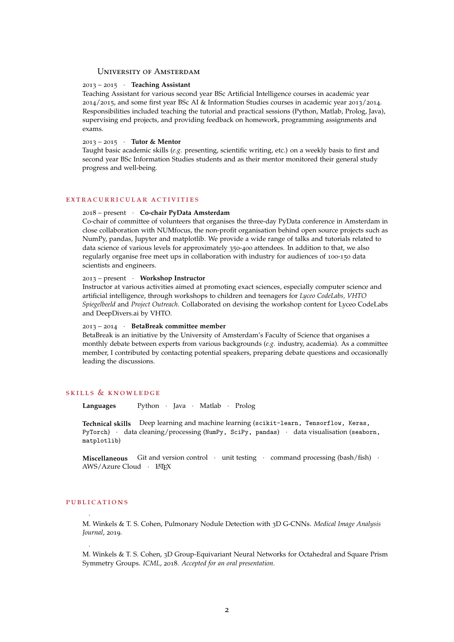# University of Amsterdam

## 2013 – 2015 · **Teaching Assistant**

Teaching Assistant for various second year BSc Artificial Intelligence courses in academic year 2014/2015, and some first year BSc AI & Information Studies courses in academic year 2013/2014. Responsibilities included teaching the tutorial and practical sessions (Python, Matlab, Prolog, Java), supervising end projects, and providing feedback on homework, programming assignments and exams.

#### 2013 – 2015 · **Tutor & Mentor**

Taught basic academic skills (*e.g.* presenting, scientific writing, etc.) on a weekly basis to first and second year BSc Information Studies students and as their mentor monitored their general study progress and well-being.

## EXTRACURRICULAR ACTIVITIES

## 2018 – present · **Co-chair PyData Amsterdam**

Co-chair of committee of volunteers that organises the three-day PyData conference in Amsterdam in close collaboration with NUMfocus, the non-profit organisation behind open source projects such as NumPy, pandas, Jupyter and matplotlib. We provide a wide range of talks and tutorials related to data science of various levels for approximately 350-400 attendees. In addition to that, we also regularly organise free meet ups in collaboration with industry for audiences of 100-150 data scientists and engineers.

# 2013 – present · **Workshop Instructor**

Instructor at various activities aimed at promoting exact sciences, especially computer science and artificial intelligence, through workshops to children and teenagers for *Lyceo CodeLabs, VHTO Spiegelbeeld* and *Project Outreach*. Collaborated on devising the workshop content for Lyceo CodeLabs and DeepDivers.ai by VHTO.

#### 2013 – 2014 · **BetaBreak committee member**

BetaBreak is an initiative by the University of Amsterdam's Faculty of Science that organises a monthly debate between experts from various backgrounds (*e.g.* industry, academia). As a committee member, I contributed by contacting potential speakers, preparing debate questions and occasionally leading the discussions.

# SKILLS & KNOWLEDGE

**Languages** Python · Java · Matlab · Prolog

**Technical skills** Deep learning and machine learning (scikit-learn, Tensorflow, Keras, PyTorch) · data cleaning/processing (NumPy, SciPy, pandas) · data visualisation (seaborn, matplotlib)

**Miscellaneous** Git and version control · unit testing · command processing (bash/fish) · AWS/Azure Cloud · LATEX

#### PUBLICATIONS

·

·

M. Winkels & T. S. Cohen, Pulmonary Nodule Detection with 3D G-CNNs. *Medical Image Analysis Journal*, 2019.

M. Winkels & T. S. Cohen, 3D Group-Equivariant Neural Networks for Octahedral and Square Prism Symmetry Groups. *ICML*, 2018. *Accepted for an oral presentation.*